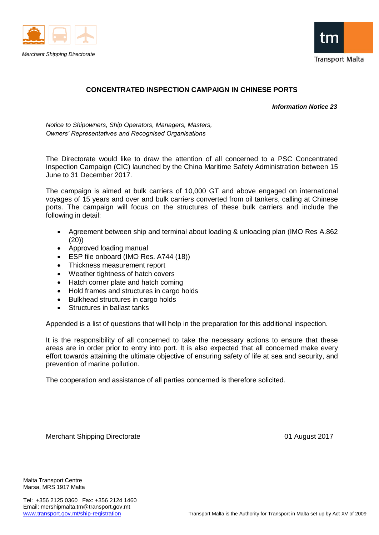



# **CONCENTRATED INSPECTION CAMPAIGN IN CHINESE PORTS**

 *Information Notice 23*

*Notice to Shipowners, Ship Operators, Managers, Masters, Owners' Representatives and Recognised Organisations*

The Directorate would like to draw the attention of all concerned to a PSC Concentrated Inspection Campaign (CIC) launched by the China Maritime Safety Administration between 15 June to 31 December 2017.

The campaign is aimed at bulk carriers of 10,000 GT and above engaged on international voyages of 15 years and over and bulk carriers converted from oil tankers, calling at Chinese ports. The campaign will focus on the structures of these bulk carriers and include the following in detail:

- Agreement between ship and terminal about loading & unloading plan (IMO Res A.862 (20))
- Approved loading manual
- ESP file onboard (IMO Res. A744 (18))
- Thickness measurement report
- Weather tightness of hatch covers
- Hatch corner plate and hatch coming
- Hold frames and structures in cargo holds
- Bulkhead structures in cargo holds
- Structures in ballast tanks

Appended is a list of questions that will help in the preparation for this additional inspection.

It is the responsibility of all concerned to take the necessary actions to ensure that these areas are in order prior to entry into port. It is also expected that all concerned make every effort towards attaining the ultimate objective of ensuring safety of life at sea and security, and prevention of marine pollution.

The cooperation and assistance of all parties concerned is therefore solicited.

Merchant Shipping Directorate **01 August 2017** 

Malta Transport Centre Marsa, MRS 1917 Malta

Tel: +356 2125 0360 Fax: +356 2124 1460 Email: mershipmalta.tm@transport.gov.mt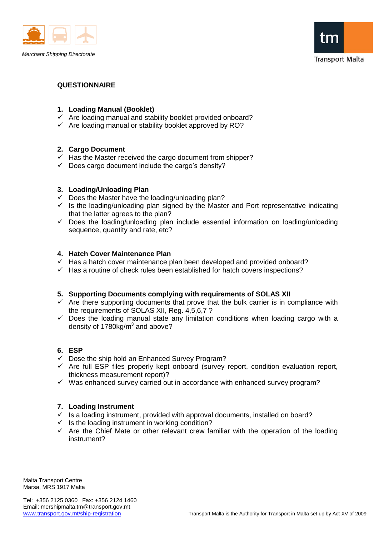



# **QUESTIONNAIRE**

# **1. Loading Manual (Booklet)**

- $\checkmark$  Are loading manual and stability booklet provided onboard?
- $\checkmark$  Are loading manual or stability booklet approved by RO?

# **2. Cargo Document**

- $\checkmark$  Has the Master received the cargo document from shipper?
- $\checkmark$  Does cargo document include the cargo's density?

#### **3. Loading/Unloading Plan**

- $\checkmark$  Does the Master have the loading/unloading plan?
- $\checkmark$  Is the loading/unloading plan signed by the Master and Port representative indicating that the latter agrees to the plan?
- $\checkmark$  Does the loading/unloading plan include essential information on loading/unloading sequence, quantity and rate, etc?

# **4. Hatch Cover Maintenance Plan**

- $\checkmark$  Has a hatch cover maintenance plan been developed and provided onboard?
- $\checkmark$  Has a routine of check rules been established for hatch covers inspections?

# **5. Supporting Documents complying with requirements of SOLAS XII**

- $\checkmark$  Are there supporting documents that prove that the bulk carrier is in compliance with the requirements of SOLAS XII, Reg. 4,5,6,7 ?
- $\checkmark$  Does the loading manual state any limitation conditions when loading cargo with a density of 1780 $kg/m<sup>3</sup>$  and above?

# **6. ESP**

- $\checkmark$  Dose the ship hold an Enhanced Survey Program?
- $\checkmark$  Are full ESP files properly kept onboard (survey report, condition evaluation report, thickness measurement report)?
- $\checkmark$  Was enhanced survey carried out in accordance with enhanced survey program?

# **7. Loading Instrument**

- $\checkmark$  is a loading instrument, provided with approval documents, installed on board?
- $\checkmark$  Is the loading instrument in working condition?
- $\checkmark$  Are the Chief Mate or other relevant crew familiar with the operation of the loading instrument?

Malta Transport Centre Marsa, MRS 1917 Malta